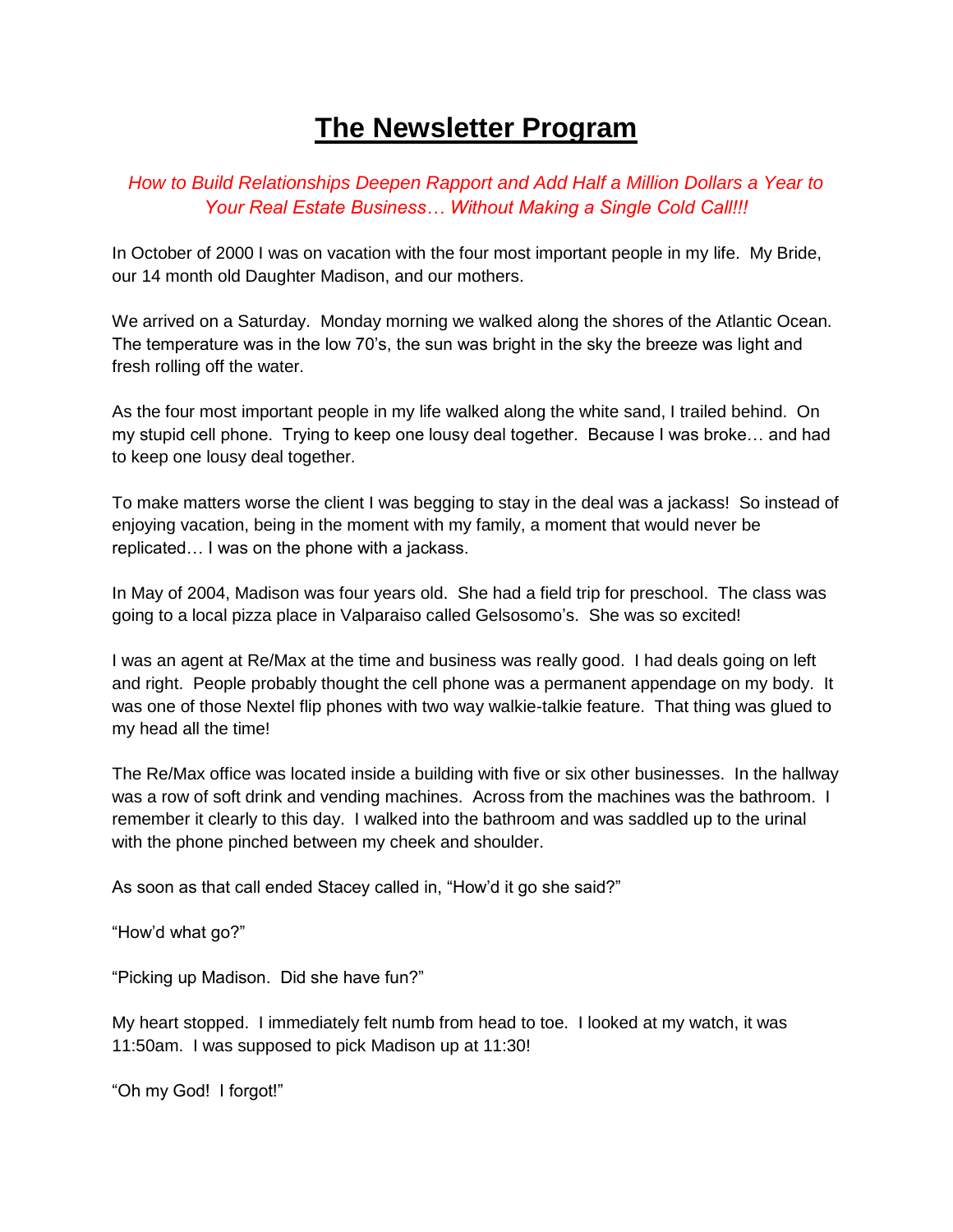## **The Newsletter Program**

## *How to Build Relationships Deepen Rapport and Add Half a Million Dollars a Year to Your Real Estate Business… Without Making a Single Cold Call!!!*

In October of 2000 I was on vacation with the four most important people in my life. My Bride, our 14 month old Daughter Madison, and our mothers.

We arrived on a Saturday. Monday morning we walked along the shores of the Atlantic Ocean. The temperature was in the low 70's, the sun was bright in the sky the breeze was light and fresh rolling off the water.

As the four most important people in my life walked along the white sand, I trailed behind. On my stupid cell phone. Trying to keep one lousy deal together. Because I was broke… and had to keep one lousy deal together.

To make matters worse the client I was begging to stay in the deal was a jackass! So instead of enjoying vacation, being in the moment with my family, a moment that would never be replicated… I was on the phone with a jackass.

In May of 2004, Madison was four years old. She had a field trip for preschool. The class was going to a local pizza place in Valparaiso called Gelsosomo's. She was so excited!

I was an agent at Re/Max at the time and business was really good. I had deals going on left and right. People probably thought the cell phone was a permanent appendage on my body. It was one of those Nextel flip phones with two way walkie-talkie feature. That thing was glued to my head all the time!

The Re/Max office was located inside a building with five or six other businesses. In the hallway was a row of soft drink and vending machines. Across from the machines was the bathroom. I remember it clearly to this day. I walked into the bathroom and was saddled up to the urinal with the phone pinched between my cheek and shoulder.

As soon as that call ended Stacey called in, "How'd it go she said?"

"How'd what go?"

"Picking up Madison. Did she have fun?"

My heart stopped. I immediately felt numb from head to toe. I looked at my watch, it was 11:50am. I was supposed to pick Madison up at 11:30!

"Oh my God! I forgot!"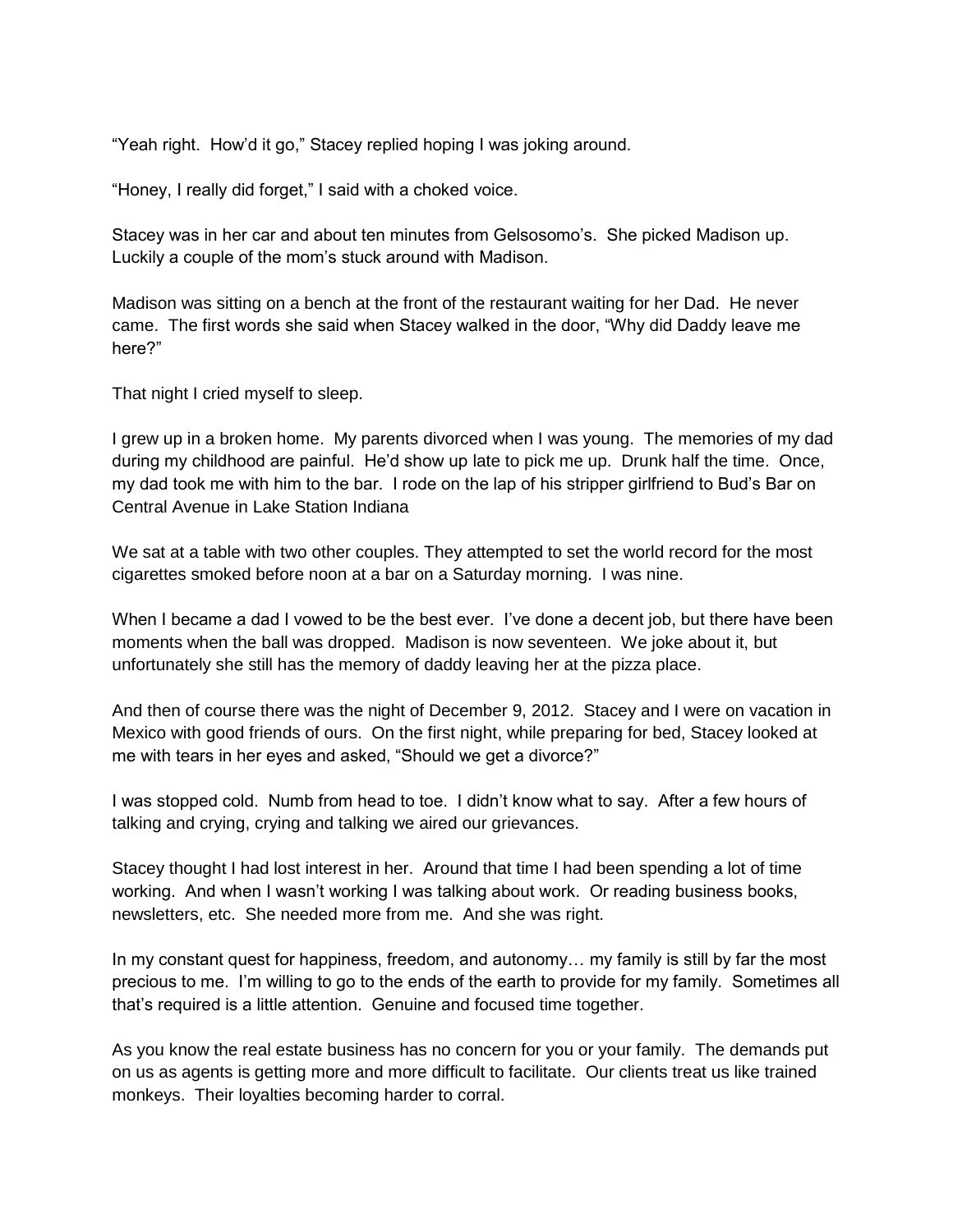"Yeah right. How'd it go," Stacey replied hoping I was joking around.

"Honey, I really did forget," I said with a choked voice.

Stacey was in her car and about ten minutes from Gelsosomo's. She picked Madison up. Luckily a couple of the mom's stuck around with Madison.

Madison was sitting on a bench at the front of the restaurant waiting for her Dad. He never came. The first words she said when Stacey walked in the door, "Why did Daddy leave me here?"

That night I cried myself to sleep.

I grew up in a broken home. My parents divorced when I was young. The memories of my dad during my childhood are painful. He'd show up late to pick me up. Drunk half the time. Once, my dad took me with him to the bar. I rode on the lap of his stripper girlfriend to Bud's Bar on Central Avenue in Lake Station Indiana

We sat at a table with two other couples. They attempted to set the world record for the most cigarettes smoked before noon at a bar on a Saturday morning. I was nine.

When I became a dad I vowed to be the best ever. I've done a decent job, but there have been moments when the ball was dropped. Madison is now seventeen. We joke about it, but unfortunately she still has the memory of daddy leaving her at the pizza place.

And then of course there was the night of December 9, 2012. Stacey and I were on vacation in Mexico with good friends of ours. On the first night, while preparing for bed, Stacey looked at me with tears in her eyes and asked, "Should we get a divorce?"

I was stopped cold. Numb from head to toe. I didn't know what to say. After a few hours of talking and crying, crying and talking we aired our grievances.

Stacey thought I had lost interest in her. Around that time I had been spending a lot of time working. And when I wasn't working I was talking about work. Or reading business books, newsletters, etc. She needed more from me. And she was right.

In my constant quest for happiness, freedom, and autonomy… my family is still by far the most precious to me. I'm willing to go to the ends of the earth to provide for my family. Sometimes all that's required is a little attention. Genuine and focused time together.

As you know the real estate business has no concern for you or your family. The demands put on us as agents is getting more and more difficult to facilitate. Our clients treat us like trained monkeys. Their loyalties becoming harder to corral.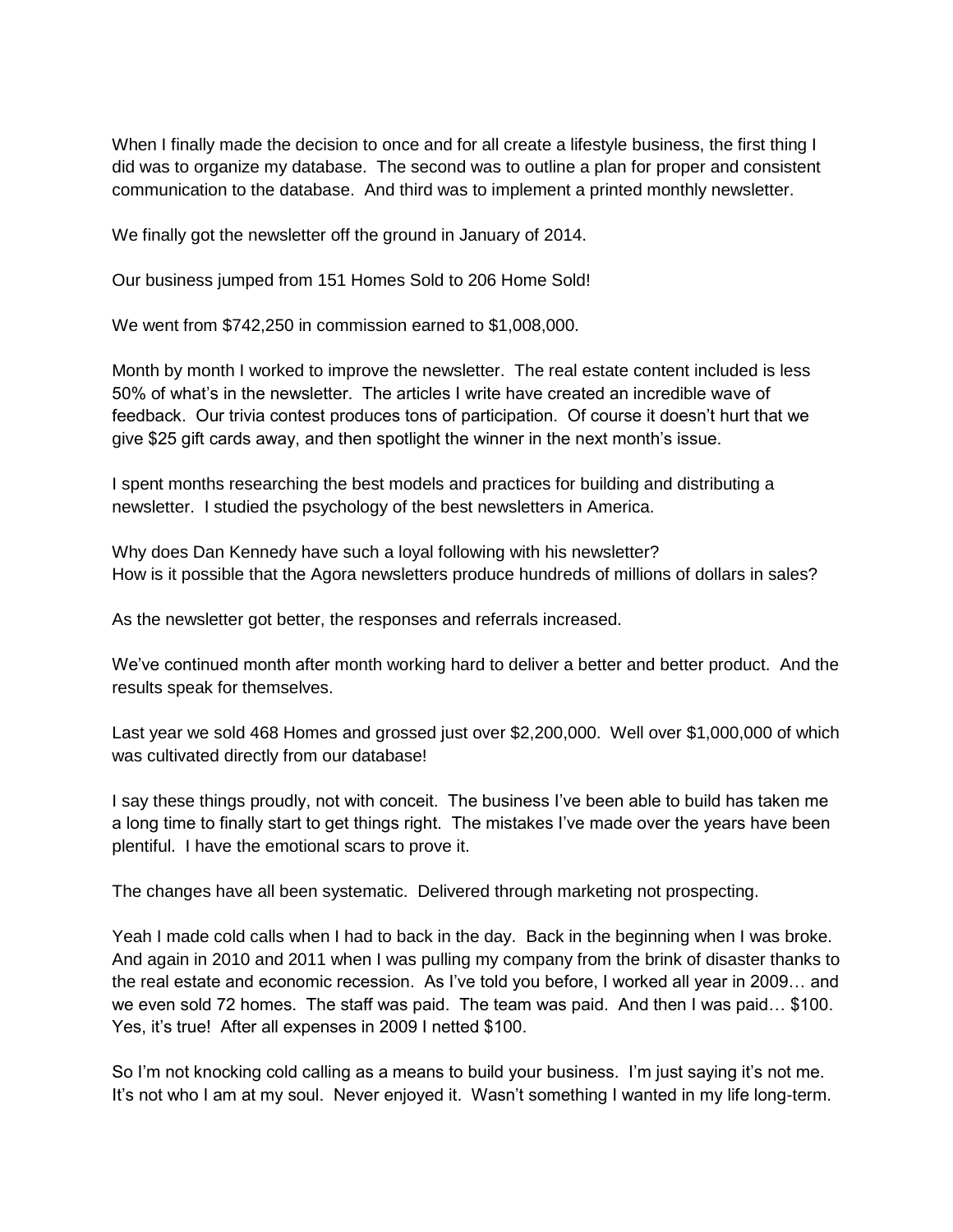When I finally made the decision to once and for all create a lifestyle business, the first thing I did was to organize my database. The second was to outline a plan for proper and consistent communication to the database. And third was to implement a printed monthly newsletter.

We finally got the newsletter off the ground in January of 2014.

Our business jumped from 151 Homes Sold to 206 Home Sold!

We went from \$742,250 in commission earned to \$1,008,000.

Month by month I worked to improve the newsletter. The real estate content included is less 50% of what's in the newsletter. The articles I write have created an incredible wave of feedback. Our trivia contest produces tons of participation. Of course it doesn't hurt that we give \$25 gift cards away, and then spotlight the winner in the next month's issue.

I spent months researching the best models and practices for building and distributing a newsletter. I studied the psychology of the best newsletters in America.

Why does Dan Kennedy have such a loyal following with his newsletter? How is it possible that the Agora newsletters produce hundreds of millions of dollars in sales?

As the newsletter got better, the responses and referrals increased.

We've continued month after month working hard to deliver a better and better product. And the results speak for themselves.

Last year we sold 468 Homes and grossed just over \$2,200,000. Well over \$1,000,000 of which was cultivated directly from our database!

I say these things proudly, not with conceit. The business I've been able to build has taken me a long time to finally start to get things right. The mistakes I've made over the years have been plentiful. I have the emotional scars to prove it.

The changes have all been systematic. Delivered through marketing not prospecting.

Yeah I made cold calls when I had to back in the day. Back in the beginning when I was broke. And again in 2010 and 2011 when I was pulling my company from the brink of disaster thanks to the real estate and economic recession. As I've told you before, I worked all year in 2009… and we even sold 72 homes. The staff was paid. The team was paid. And then I was paid… \$100. Yes, it's true! After all expenses in 2009 I netted \$100.

So I'm not knocking cold calling as a means to build your business. I'm just saying it's not me. It's not who I am at my soul. Never enjoyed it. Wasn't something I wanted in my life long-term.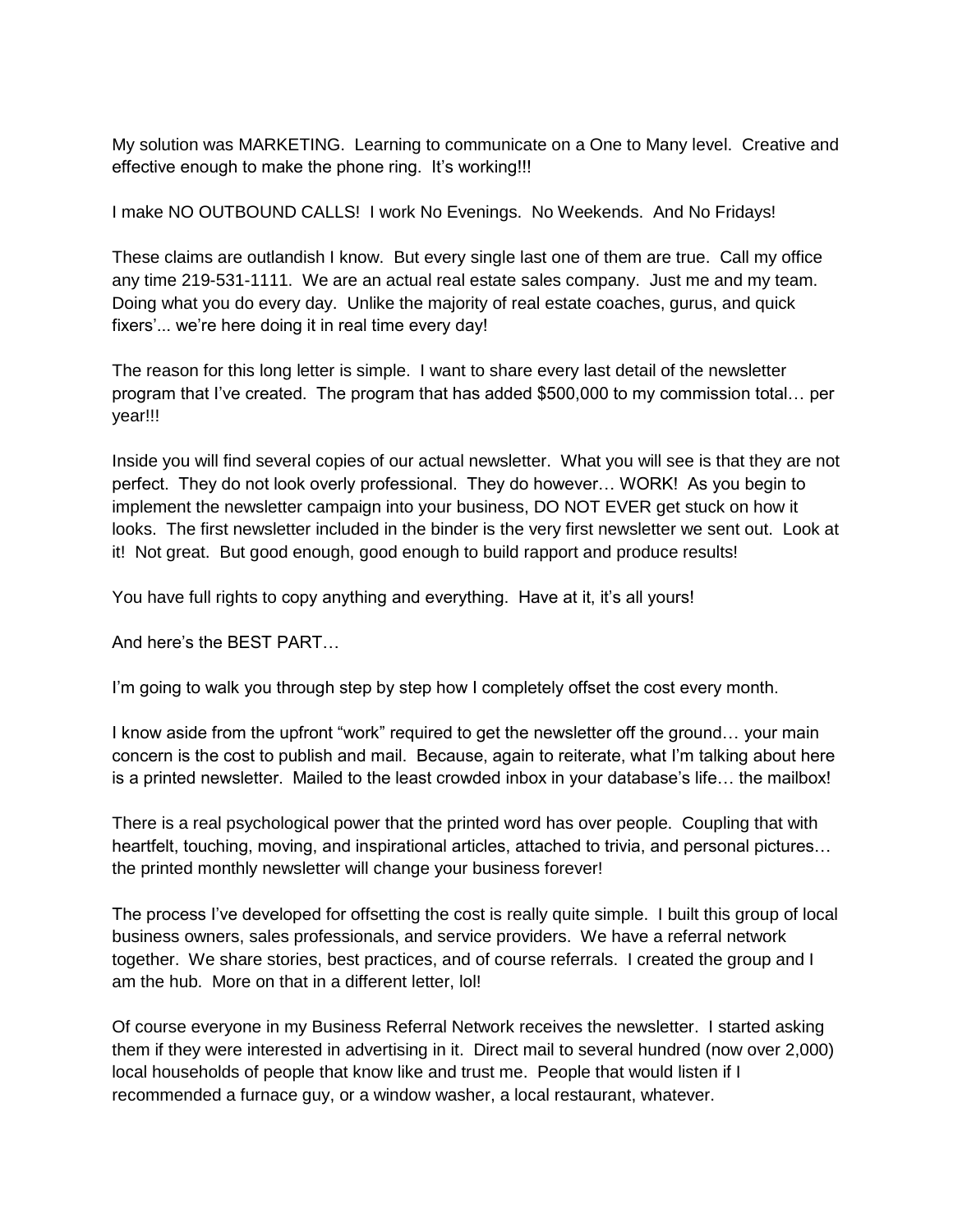My solution was MARKETING. Learning to communicate on a One to Many level. Creative and effective enough to make the phone ring. It's working!!!

I make NO OUTBOUND CALLS! I work No Evenings. No Weekends. And No Fridays!

These claims are outlandish I know. But every single last one of them are true. Call my office any time 219-531-1111. We are an actual real estate sales company. Just me and my team. Doing what you do every day. Unlike the majority of real estate coaches, gurus, and quick fixers'... we're here doing it in real time every day!

The reason for this long letter is simple. I want to share every last detail of the newsletter program that I've created. The program that has added \$500,000 to my commission total… per year!!!

Inside you will find several copies of our actual newsletter. What you will see is that they are not perfect. They do not look overly professional. They do however… WORK! As you begin to implement the newsletter campaign into your business, DO NOT EVER get stuck on how it looks. The first newsletter included in the binder is the very first newsletter we sent out. Look at it! Not great. But good enough, good enough to build rapport and produce results!

You have full rights to copy anything and everything. Have at it, it's all yours!

And here's the BEST PART…

I'm going to walk you through step by step how I completely offset the cost every month.

I know aside from the upfront "work" required to get the newsletter off the ground… your main concern is the cost to publish and mail. Because, again to reiterate, what I'm talking about here is a printed newsletter. Mailed to the least crowded inbox in your database's life… the mailbox!

There is a real psychological power that the printed word has over people. Coupling that with heartfelt, touching, moving, and inspirational articles, attached to trivia, and personal pictures… the printed monthly newsletter will change your business forever!

The process I've developed for offsetting the cost is really quite simple. I built this group of local business owners, sales professionals, and service providers. We have a referral network together. We share stories, best practices, and of course referrals. I created the group and I am the hub. More on that in a different letter, lol!

Of course everyone in my Business Referral Network receives the newsletter. I started asking them if they were interested in advertising in it. Direct mail to several hundred (now over 2,000) local households of people that know like and trust me. People that would listen if I recommended a furnace guy, or a window washer, a local restaurant, whatever.